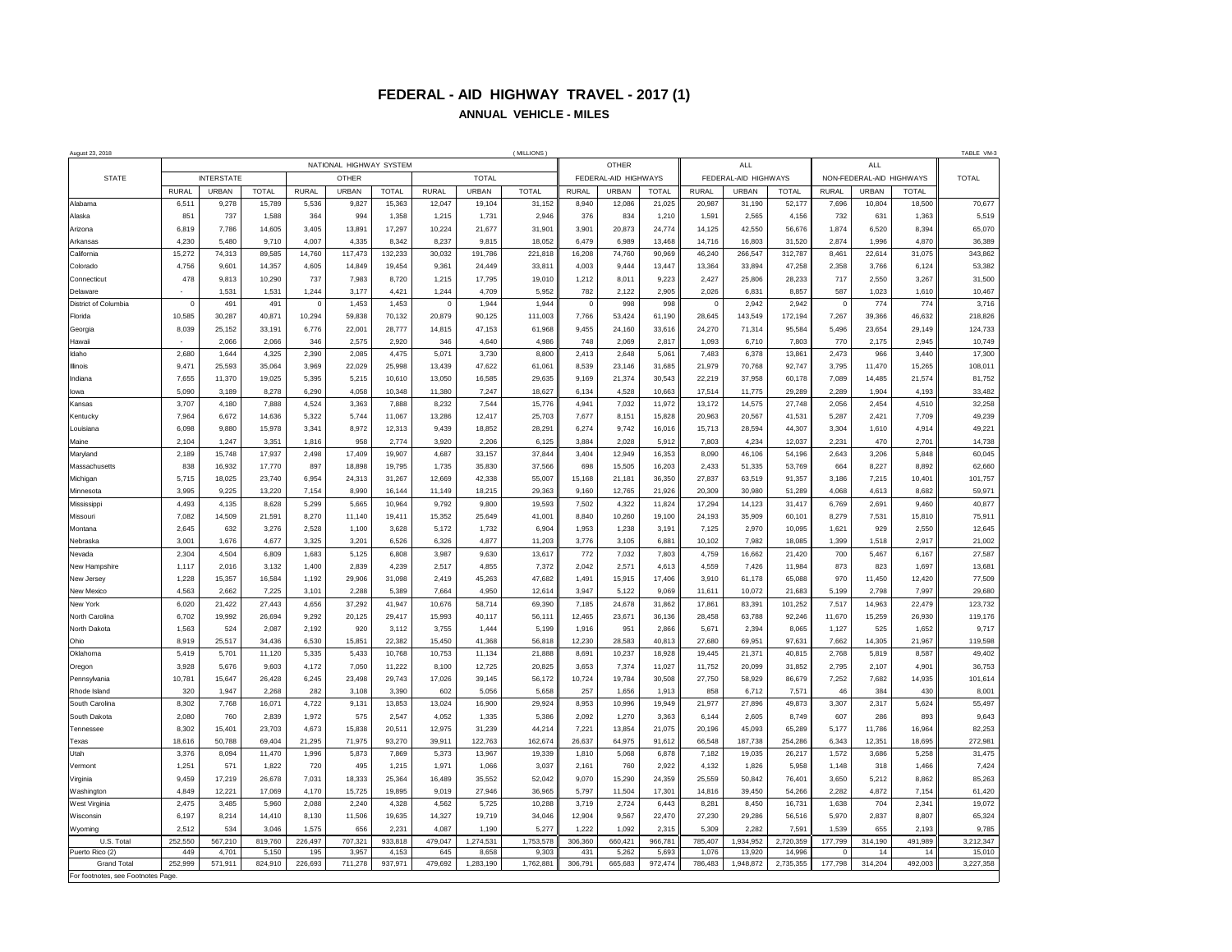## **FEDERAL - AID HIGHWAY TRAVEL - 2017 (1) ANNUAL VEHICLE - MILES**

| August 23, 2018<br>(MILLIONS          |                         |                 |                 |                 |                  |                  |                 |                  |                      |                     |                  |                      |                  | TABLE VM-3        |                          |                |                 |                  |                   |
|---------------------------------------|-------------------------|-----------------|-----------------|-----------------|------------------|------------------|-----------------|------------------|----------------------|---------------------|------------------|----------------------|------------------|-------------------|--------------------------|----------------|-----------------|------------------|-------------------|
| <b>STATE</b>                          | NATIONAL HIGHWAY SYSTEM |                 |                 |                 |                  |                  |                 |                  |                      | OTHER<br><b>ALL</b> |                  |                      |                  |                   |                          | ALL            |                 |                  |                   |
|                                       | <b>INTERSTATE</b>       |                 |                 | OTHER           |                  | <b>TOTAL</b>     |                 |                  | FEDERAL-AID HIGHWAYS |                     |                  | FEDERAL-AID HIGHWAYS |                  |                   | NON-FEDERAL-AID HIGHWAYS |                |                 | <b>TOTAL</b>     |                   |
|                                       | <b>RURAL</b>            | URBAN           | <b>TOTAL</b>    | <b>RURAL</b>    | URBAN            | <b>TOTAL</b>     | <b>RURAL</b>    | <b>URBAN</b>     | <b>TOTAL</b>         | <b>RURAL</b>        | URBAN            | <b>TOTAL</b>         | <b>RURAL</b>     | URBAN             | <b>TOTAL</b>             | <b>RURAL</b>   | URBAN           | <b>TOTAL</b>     |                   |
| Alahama                               | 6,511                   | 9.278           | 15,789          | 5,536           | 9,827            | 15,363           | 12,047          | 19,104           | 31,152               | 8,940               | 12,086           | 21,025               | 20,987           | 31,190            | 52,177                   | 7,696          | 10,804          | 18,500           | 70,677            |
| Alaska                                | 851                     | 737             | 1,588           | 364             | 994              | 1,358            | 1.215           | 1,731            | 2.946                | 376                 | 834              | 1,210                | 1,591            | 2.565             | 4,156                    | 732            | 631             | 1,363            | 5,519             |
| Arizona                               | 6.819                   | 7,786           | 14,605          | 3,405           | 13,891           | 17,297           | 10,224          | 21,677           | 31.90'               | 3.901               | 20,873           | 24,774               | 14.125           | 42,550            | 56,676                   | 1,874          | 6,520           | 8,394            | 65,070            |
| Arkansas<br>California                | 4,230<br>15,272         | 5,480<br>74,313 | 9,710<br>89,585 | 4,007<br>14,760 | 4,335<br>117,473 | 8,342<br>132,233 | 8,237<br>30,032 | 9,815<br>191,786 | 18,052<br>221,818    | 6,479<br>16,208     | 6,989<br>74,760  | 13,468<br>90,969     | 14,716<br>46,240 | 16,803<br>266,547 | 31,520<br>312,787        | 2,874<br>8,461 | 1,996<br>22,614 | 4,870<br>31,075  | 36,389<br>343,862 |
| Colorado                              | 4,756                   | 9,601           | 14,357          | 4,605           | 14,849           | 19,454           | 9,361           | 24,449           | 33,811               | 4,003               | 9,444            | 13,447               | 13,364           | 33,894            | 47,258                   | 2,358          | 3,766           | 6,124            | 53,382            |
| Connecticut                           | 478                     | 9,813           | 10,290          | 737             | 7,983            | 8,720            | 1,215           | 17,795           | 19,010               | 1,212               | 8,011            | 9,223                | 2,427            | 25.806            | 28,233                   | 717            | 2.550           | 3,267            | 31,500            |
| Delaware                              |                         | 1,531           | 1,531           | 1.244           | 3.177            | 4,421            | 1,244           | 4,709            | 5,952                | 782                 | 2,122            | 2,905                | 2,026            | 6,831             | 8,857                    | 587            | 1,023           | 1,610            | 10,467            |
| District of Columbia                  | $\overline{0}$          | 491             | 491             | $\mathbf 0$     | 1,453            | 1,453            | $\overline{0}$  | 1,944            | 1,944                | $\circ$             | 998              | 998                  | $\mathbf 0$      | 2,942             | 2,942                    | $\overline{0}$ | 774             | 774              | 3,716             |
| Florida                               | 10,585                  | 30,287          | 40,871          | 10,294          | 59,838           | 70,132           | 20,879          | 90,125           | 111,003              | 7.766               | 53,424           | 61,190               | 28.645           | 143,549           | 172,194                  | 7,267          | 39,366          | 46,632           | 218,826           |
| Georgia                               | 8,039                   | 25.152          | 33,191          | 6.776           | 22.001           | 28,777           | 14,815          | 47,153           | 61,968               | 9,455               | 24,160           | 33,616               | 24.270           | 71,314            | 95,584                   | 5,496          | 23.654          | 29,149           | 124,733           |
| Hawaii                                |                         | 2.066           | 2,066           | 346             | 2.575            | 2,920            | 346             | 4.640            | 4.986                | 748                 | 2.069            | 2.817                | 1.093            | 6.710             | 7.803                    | 770            | 2.175           | 2.945            | 10,749            |
| Idaho                                 | 2,680                   | 1,644           | 4,325           | 2,390           | 2.085            | 4,475            | 5,071           | 3,730            | 8,800                | 2,413               | 2,648            | 5,061                | 7,483            | 6.378             | 13,861                   | 2,473          | 966             | 3,440            | 17,300            |
| Illinois                              | 9.471                   | 25,593          | 35,064          | 3,969           | 22,029           | 25,998           | 13.439          | 47,622           | 61,061               | 8.539               | 23.146           | 31,685               | 21,979           | 70,768            | 92.747                   | 3.795          | 11,470          | 15,265           | 108,011           |
| Indiana                               | 7,655                   | 11,370          | 19,025          | 5,395           | 5,215            | 10,610           | 13,050          | 16,585           | 29,635               | 9,169               | 21,374           | 30,543               | 22,219           | 37,958            | 60,178                   | 7,089          | 14,485          | 21,574           | 81,752            |
| lowa                                  | 5,090                   | 3,189           | 8,278           | 6,290           | 4,058            | 10,348           | 11,380          | 7,247            | 18,627               | 6,134               | 4,528            | 10,663               | 17,514           | 11,775            | 29,289                   | 2,289          | 1,904           | 4,193            | 33,482            |
| Kansas<br>Kentucky                    | 3,707<br>7,964          | 4,180<br>6.672  | 7,888<br>14,636 | 4,524<br>5,322  | 3,363<br>5,744   | 7,888<br>11,067  | 8,232<br>13,286 | 7,544<br>12,417  | 15,776<br>25,703     | 4,941<br>7,677      | 7,032<br>8,151   | 11,972<br>15,828     | 13,172<br>20,963 | 14.575<br>20,567  | 27,748<br>41,531         | 2,056<br>5,287 | 2,454<br>2,421  | 4,510<br>7,709   | 32,258<br>49,239  |
| Louisiana                             | 6,098                   | 9,880           | 15,978          | 3,341           | 8,972            | 12,313           | 9,439           | 18,852           | 28,291               | 6,274               | 9,742            | 16,016               | 15,713           | 28.594            | 44,307                   | 3,304          | 1,610           | 4,914            | 49,221            |
| Maine                                 | 2,104                   | 1,247           | 3,351           | 1,816           | 958              | 2,774            | 3,920           | 2,206            | 6,125                | 3,884               | 2,028            | 5,912                | 7,803            | 4,234             | 12,037                   | 2,231          | 470             | 2,701            | 14,738            |
| Marvland                              | 2,189                   | 15,748          | 17,937          | 2,498           | 17,409           | 19,907           | 4,687           | 33,157           | 37,844               | 3,404               | 12,949           | 16,353               | 8,090            | 46,106            | 54,196                   | 2,643          | 3,206           | 5,848            | 60,045            |
| Massachusetts                         | 838                     | 16.932          | 17,770          | 897             | 18,898           | 19,795           | 1,735           | 35,830           | 37,566               | 698                 | 15,505           | 16,203               | 2.433            | 51.335            | 53,769                   | 664            | 8.227           | 8,892            | 62,660            |
| Michigan                              | 5,715                   | 18.025          | 23,740          | 6,954           | 24.313           | 31,267           | 12,669          | 42,338           | 55,007               | 15.168              | 21,181           | 36,350               | 27,837           | 63,519            | 91,357                   | 3,186          | 7.215           | 10,401           | 101,757           |
| Minnesota                             | 3.995                   | 9,225           | 13,220          | 7,154           | 8.990            | 16,144           | 11.149          | 18.215           | 29.363               | 9.160               | 12,765           | 21,926               | 20,309           | 30,980            | 51,289                   | 4.068          | 4.613           | 8,682            | 59,971            |
| Mississippi                           | 4,493                   | 4,135           | 8,628           | 5,299           | 5.665            | 10,964           | 9,792           | 9,800            | 19,593               | 7,502               | 4,322            | 11,824               | 17,294           | 14,123            | 31,417                   | 6,769          | 2,691           | 9,460            | 40,877            |
| Missouri                              | 7,082                   | 14.509          | 21,591          | 8.270           | 11.140           | 19,411           | 15,352          | 25.649           | 41,001               | 8.840               | 10,260           | 19.100               | 24.193           | 35,909            | 60,101                   | 8.279          | 7,531           | 15,810           | 75,911            |
| Montana                               | 2,645                   | 632             | 3,276           | 2,528           | 1,100            | 3,628            | 5,172           | 1,732            | 6,904                | 1,953               | 1,238            | 3,191                | 7,125            | 2,970             | 10,095                   | 1,621          | 929             | 2,550            | 12,645            |
| Nebraska                              | 3,001                   | 1,676           | 4,677           | 3,325           | 3,201            | 6,526            | 6,326           | 4,877            | 11,203               | 3,776               | 3,105            | 6,881                | 10,102           | 7,982             | 18,085                   | 1,399          | 1,518           | 2,917            | 21,002            |
| Nevada                                | 2.304                   | 4.504           | 6,809           | 1,683           | 5,125            | 6,808            | 3,987           | 9,630            | 13,617               | 772                 | 7,032            | 7,803                | 4,759            | 16,662            | 21,420                   | 700            | 5,467           | 6,167            | 27,587            |
| New Hampshire<br>New Jersey           | 1,117<br>1,228          | 2,016<br>15,357 | 3,132<br>16,584 | 1,400<br>1,192  | 2,839<br>29,906  | 4,239<br>31,098  | 2,517<br>2,419  | 4,855<br>45,263  | 7,372<br>47,682      | 2,042<br>1,491      | 2,571<br>15,915  | 4,613<br>17,406      | 4,559<br>3,910   | 7,426<br>61,178   | 11,984<br>65,088         | 873<br>970     | 823<br>11,450   | 1,697<br>12,420  | 13,681<br>77,509  |
| New Mexico                            | 4,563                   | 2,662           | 7,225           | 3,101           | 2,288            | 5,389            | 7,664           | 4,950            | 12,614               | 3.947               | 5,122            | 9,069                | 11.611           | 10,072            | 21,683                   | 5,199          | 2,798           | 7,997            | 29,680            |
| New York                              | 6,020                   | 21,422          | 27,443          | 4,656           | 37,292           | 41,947           | 10,676          | 58,714           | 69,390               | 7,185               | 24,678           | 31,862               | 17,861           | 83,391            | 101,252                  | 7,517          | 14,963          | 22,479           | 123,732           |
| North Carolina                        | 6,702                   | 19.992          | 26,694          | 9,292           | 20.125           | 29,417           | 15,993          | 40,117           | 56,111               | 12.465              | 23,671           | 36,136               | 28,458           | 63.788            | 92,246                   | 11,670         | 15.259          | 26,930           | 119,176           |
| North Dakota                          | 1,563                   | 524             | 2,087           | 2,192           | 920              | 3,112            | 3,755           | 1.444            | 5,199                | 1.916               | 951              | 2,866                | 5,671            | 2,394             | 8,065                    | 1,127          | 525             | 1,652            | 9,717             |
| Ohio                                  | 8.919                   | 25,517          | 34,436          | 6.530           | 15,851           | 22,382           | 15,450          | 41,368           | 56,818               | 12.230              | 28,583           | 40,813               | 27,680           | 69.951            | 97,631                   | 7,662          | 14.305          | 21,967           | 119,598           |
| Oklahoma                              | 5,419                   | 5,701           | 11,120          | 5,335           | 5,433            | 10,768           | 10,753          | 11,134           | 21,888               | 8,691               | 10,237           | 18,928               | 19,445           | 21,371            | 40,815                   | 2,768          | 5,819           | 8,587            | 49,402            |
| Oregon                                | 3,928                   | 5,676           | 9,603           | 4,172           | 7,050            | 11,222           | 8,100           | 12,725           | 20,825               | 3,653               | 7,374            | 11,027               | 11,752           | 20,099            | 31,852                   | 2,795          | 2,107           | 4,901            | 36,753            |
| Pennsylvania                          | 10,781                  | 15,647          | 26,428          | 6,245           | 23,498           | 29,743           | 17,026          | 39,145           | 56,172               | 10,724              | 19,784           | 30,508               | 27,750           | 58,929            | 86,679                   | 7,252          | 7,682           | 14,935           | 101,614           |
| Rhode Island                          | 320                     | 1,947           | 2,268           | 282             | 3,108            | 3,390            | 602             | 5,056            | 5,658                | 257                 | 1,656            | 1,913                | 858              | 6,712             | 7,571                    | 46             | 384             | 430              | 8,001             |
| South Carolina                        | 8,302                   | 7,768           | 16,071          | 4,722           | 9,131            | 13,853           | 13,024          | 16,900           | 29,924               | 8,953               | 10,996           | 19,949               | 21,977           | 27,896<br>2.605   | 49,873                   | 3,307          | 2.317<br>286    | 5,624            | 55,497            |
| South Dakota<br>Tennessee             | 2,080<br>8,302          | 760<br>15,401   | 2,839<br>23,703 | 1,972<br>4,673  | 575<br>15,838    | 2,547<br>20,511  | 4,052<br>12,975 | 1,335<br>31,239  | 5,386<br>44,214      | 2,092<br>7.221      | 1,270<br>13,854  | 3,363<br>21,075      | 6,144<br>20.196  | 45,093            | 8,749<br>65,289          | 607<br>5,177   | 11,786          | 893              | 9,643<br>82,253   |
| Texas                                 | 18,616                  | 50,788          | 69,404          | 21,295          | 71,975           | 93,270           | 39,911          | 122,763          | 162,674              | 26,637              | 64,975           | 91,612               | 66,548           | 187,738           | 254,286                  | 6,343          | 12,351          | 16,964<br>18,695 | 272,981           |
| Utah                                  | 3,376                   | 8.094           | 11,470          | 1,996           | 5.873            | 7,869            | 5.373           | 13,967           | 19,339               | 1.810               | 5,068            | 6,878                | 7,182            | 19,035            | 26,217                   | 1,572          | 3.686           | 5,258            | 31,475            |
| Vermont                               | 1.251                   | 571             | 1,822           | 720             | 495              | 1,215            | 1,971           | 1,066            | 3,037                | 2.161               | 760              | 2,922                | 4.132            | 1.826             | 5,958                    | 1,148          | 318             | 1,466            | 7,424             |
| Virginia                              | 9.459                   | 17.219          | 26,678          | 7,031           | 18,333           | 25,364           | 16,489          | 35,552           | 52,042               | 9.070               | 15,290           | 24,359               | 25.559           | 50.842            | 76,401                   | 3.650          | 5.212           | 8,862            | 85,263            |
| Washington                            | 4.849                   | 12.221          | 17,069          | 4,170           | 15.725           | 19,895           | 9.019           | 27.946           | 36,965               | 5.797               | 11,504           | 17.301               | 14.816           | 39,450            | 54,266                   | 2.282          | 4.872           | 7,154            | 61,420            |
| West Virginia                         | 2,475                   | 3,485           | 5,960           | 2,088           | 2,240            | 4,328            | 4,562           | 5,725            | 10,288               | 3,719               | 2,724            | 6,443                | 8,281            | 8,450             | 16,731                   | 1,638          | 704             | 2,341            | 19,072            |
| Wisconsin                             | 6,197                   | 8,214           | 14,410          | 8,130           | 11,506           | 19,635           | 14,327          | 19,719           | 34,046               | 12,904              | 9,567            | 22,470               | 27,230           | 29,286            | 56,516                   | 5,970          | 2,837           | 8,807            | 65,324            |
| Wyoming                               | 2,512                   | 534             | 3,046           | 1,575           | 656              | 2,231            | 4,087           | 1,190            | 5,277                | 1,222               | 1,092            | 2,315                | 5,309            | 2,282             | 7,591                    | 1,539          | 655             | 2,193            | 9,785             |
| U.S. Total                            | 252,550                 | 567.210         | 819,760         | 226,497         | 707.321          | 933,818          | 479,047         | 1,274,531        | 1,753,578            | 306,360             | 660.421          | 966.781              | 785.407          | 1.934.952         | 2,720,359                | 177,799        | 314,190         | 491,989          | 3.212.347         |
| Puerto Rico (2)<br><b>Grand Total</b> | 449<br>252,999          | 4.701           | 5.150           | 195             | 3.957            | 4.153            | 645<br>479.692  | 8,658            | 9,303                | 431                 | 5.262<br>665.683 | 5,693                | 1.076<br>786.483 | 13,920            | 14.996                   | $\Omega$       | 14<br>314,204   | 14<br>492.003    | 15,010            |
| For footnotes, see Footnotes Page.    |                         | 571,911         | 824,910         | 226,693         | 711,278          | 937,971          |                 | 1,283,190        | 1,762,881            | 306,791             |                  | 972,474              |                  | 1,948,872         | 2,735,355                | 177,798        |                 |                  | 3,227,358         |